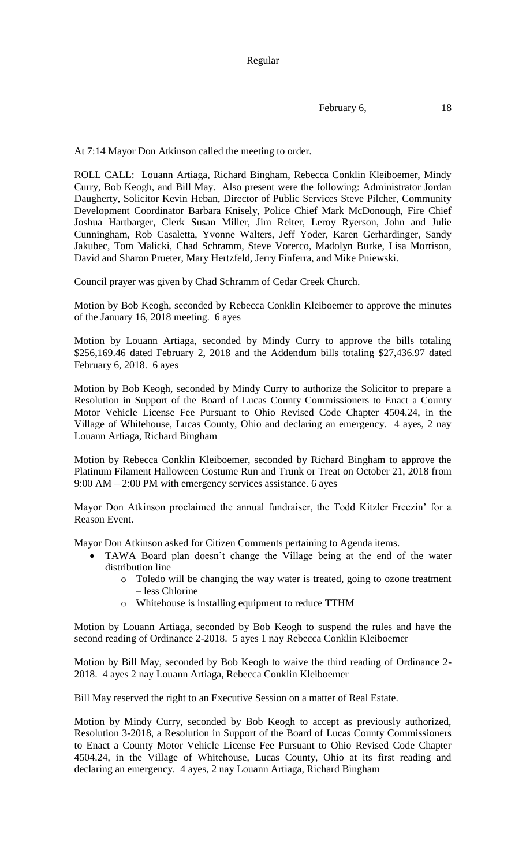Regular

February 6, 18

At 7:14 Mayor Don Atkinson called the meeting to order.

ROLL CALL: Louann Artiaga, Richard Bingham, Rebecca Conklin Kleiboemer, Mindy Curry, Bob Keogh, and Bill May. Also present were the following: Administrator Jordan Daugherty, Solicitor Kevin Heban, Director of Public Services Steve Pilcher, Community Development Coordinator Barbara Knisely, Police Chief Mark McDonough, Fire Chief Joshua Hartbarger, Clerk Susan Miller, Jim Reiter, Leroy Ryerson, John and Julie Cunningham, Rob Casaletta, Yvonne Walters, Jeff Yoder, Karen Gerhardinger, Sandy Jakubec, Tom Malicki, Chad Schramm, Steve Vorerco, Madolyn Burke, Lisa Morrison, David and Sharon Prueter, Mary Hertzfeld, Jerry Finferra, and Mike Pniewski.

Council prayer was given by Chad Schramm of Cedar Creek Church.

Motion by Bob Keogh, seconded by Rebecca Conklin Kleiboemer to approve the minutes of the January 16, 2018 meeting. 6 ayes

Motion by Louann Artiaga, seconded by Mindy Curry to approve the bills totaling \$256,169.46 dated February 2, 2018 and the Addendum bills totaling \$27,436.97 dated February 6, 2018. 6 ayes

Motion by Bob Keogh, seconded by Mindy Curry to authorize the Solicitor to prepare a Resolution in Support of the Board of Lucas County Commissioners to Enact a County Motor Vehicle License Fee Pursuant to Ohio Revised Code Chapter 4504.24, in the Village of Whitehouse, Lucas County, Ohio and declaring an emergency. 4 ayes, 2 nay Louann Artiaga, Richard Bingham

Motion by Rebecca Conklin Kleiboemer, seconded by Richard Bingham to approve the Platinum Filament Halloween Costume Run and Trunk or Treat on October 21, 2018 from 9:00 AM – 2:00 PM with emergency services assistance. 6 ayes

Mayor Don Atkinson proclaimed the annual fundraiser, the Todd Kitzler Freezin' for a Reason Event.

Mayor Don Atkinson asked for Citizen Comments pertaining to Agenda items.

- TAWA Board plan doesn't change the Village being at the end of the water distribution line
	- o Toledo will be changing the way water is treated, going to ozone treatment – less Chlorine
	- o Whitehouse is installing equipment to reduce TTHM

Motion by Louann Artiaga, seconded by Bob Keogh to suspend the rules and have the second reading of Ordinance 2-2018. 5 ayes 1 nay Rebecca Conklin Kleiboemer

Motion by Bill May, seconded by Bob Keogh to waive the third reading of Ordinance 2- 2018. 4 ayes 2 nay Louann Artiaga, Rebecca Conklin Kleiboemer

Bill May reserved the right to an Executive Session on a matter of Real Estate.

Motion by Mindy Curry, seconded by Bob Keogh to accept as previously authorized, Resolution 3-2018, a Resolution in Support of the Board of Lucas County Commissioners to Enact a County Motor Vehicle License Fee Pursuant to Ohio Revised Code Chapter 4504.24, in the Village of Whitehouse, Lucas County, Ohio at its first reading and declaring an emergency. 4 ayes, 2 nay Louann Artiaga, Richard Bingham